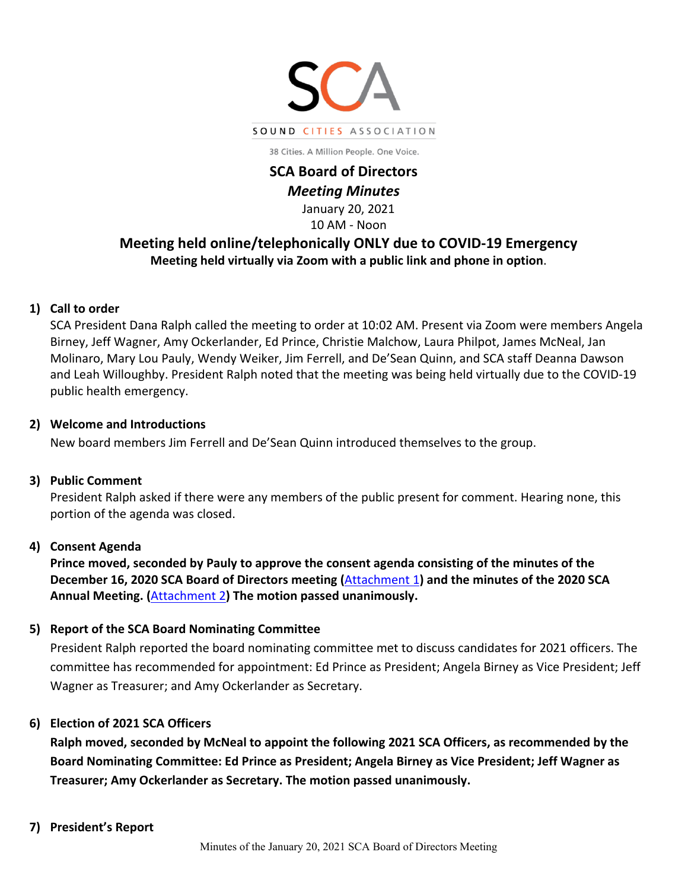

38 Cities. A Million People. One Voice.

## **SCA Board of Directors** *Meeting Minutes* January 20, 2021 10 AM - Noon

# **Meeting held online/telephonically ONLY due to COVID-19 Emergency Meeting held virtually via Zoom with a public link and phone in option**.

### **1) Call to order**

SCA President Dana Ralph called the meeting to order at 10:02 AM. Present via Zoom were members Angela Birney, Jeff Wagner, Amy Ockerlander, Ed Prince, Christie Malchow, Laura Philpot, James McNeal, Jan Molinaro, Mary Lou Pauly, Wendy Weiker, Jim Ferrell, and De'Sean Quinn, and SCA staff Deanna Dawson and Leah Willoughby. President Ralph noted that the meeting was being held virtually due to the COVID-19 public health emergency.

### **2) Welcome and Introductions**

New board members Jim Ferrell and De'Sean Quinn introduced themselves to the group.

### **3) Public Comment**

President Ralph asked if there were any members of the public present for comment. Hearing none, this portion of the agenda was closed.

### **4) Consent Agenda**

**Prince moved, seconded by Pauly to approve the consent agenda consisting of the minutes of the December 16, 2020 SCA Board of Directors meeting (**[Attachment 1](http://soundcities.org/wp-content/uploads/2020/10/07-15-2020-Board-Meeting-Minutes.pdf)**) and the minutes of the 2020 SCA Annual Meeting. (**[Attachment 2](http://soundcities.org/wp-content/uploads/2021/02/DRAFT-MINUTES-2020-Annual-Meeting.pdf)**) The motion passed unanimously.** 

### **5) Report of the SCA Board Nominating Committee**

President Ralph reported the board nominating committee met to discuss candidates for 2021 officers. The committee has recommended for appointment: Ed Prince as President; Angela Birney as Vice President; Jeff Wagner as Treasurer; and Amy Ockerlander as Secretary.

### **6) Election of 2021 SCA Officers**

**Ralph moved, seconded by McNeal to appoint the following 2021 SCA Officers, as recommended by the Board Nominating Committee: Ed Prince as President; Angela Birney as Vice President; Jeff Wagner as Treasurer; Amy Ockerlander as Secretary. The motion passed unanimously.** 

#### **7) President's Report**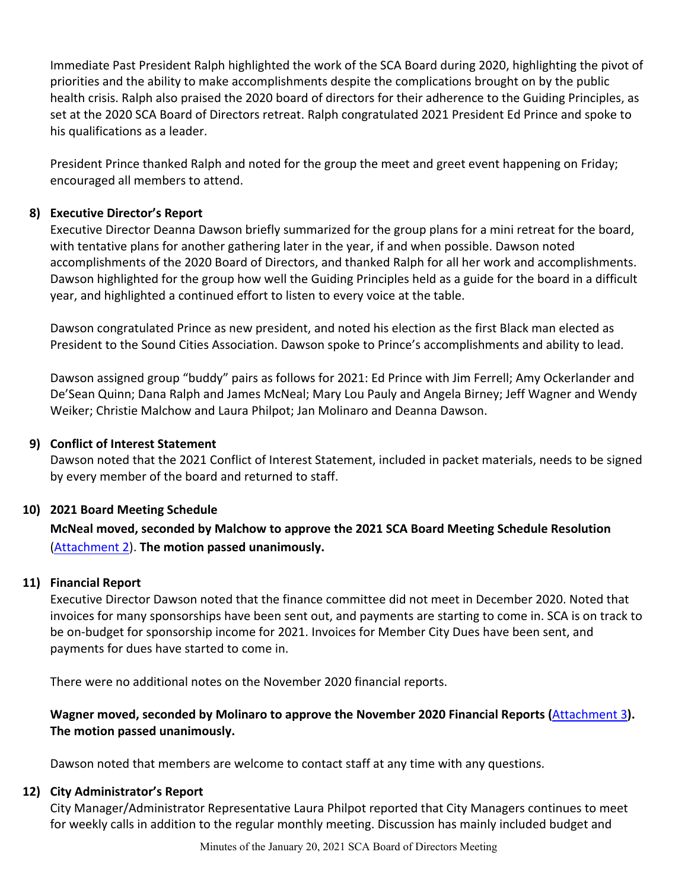Immediate Past President Ralph highlighted the work of the SCA Board during 2020, highlighting the pivot of priorities and the ability to make accomplishments despite the complications brought on by the public health crisis. Ralph also praised the 2020 board of directors for their adherence to the Guiding Principles, as set at the 2020 SCA Board of Directors retreat. Ralph congratulated 2021 President Ed Prince and spoke to his qualifications as a leader.

President Prince thanked Ralph and noted for the group the meet and greet event happening on Friday; encouraged all members to attend.

## **8) Executive Director's Report**

Executive Director Deanna Dawson briefly summarized for the group plans for a mini retreat for the board, with tentative plans for another gathering later in the year, if and when possible. Dawson noted accomplishments of the 2020 Board of Directors, and thanked Ralph for all her work and accomplishments. Dawson highlighted for the group how well the Guiding Principles held as a guide for the board in a difficult year, and highlighted a continued effort to listen to every voice at the table.

Dawson congratulated Prince as new president, and noted his election as the first Black man elected as President to the Sound Cities Association. Dawson spoke to Prince's accomplishments and ability to lead.

Dawson assigned group "buddy" pairs as follows for 2021: Ed Prince with Jim Ferrell; Amy Ockerlander and De'Sean Quinn; Dana Ralph and James McNeal; Mary Lou Pauly and Angela Birney; Jeff Wagner and Wendy Weiker; Christie Malchow and Laura Philpot; Jan Molinaro and Deanna Dawson.

## **9) Conflict of Interest Statement**

Dawson noted that the 2021 Conflict of Interest Statement, included in packet materials, needs to be signed by every member of the board and returned to staff.

### **10) 2021 Board Meeting Schedule**

**McNeal moved, seconded by Malchow to approve the 2021 SCA Board Meeting Schedule Resolution**  [\(Attachment 2\)](http://soundcities.org/wp-content/uploads/2021/01/January-20-2021-SCA-Board-of-Directors-Packet.pdf#page=14). **The motion passed unanimously.**

### **11) Financial Report**

Executive Director Dawson noted that the finance committee did not meet in December 2020. Noted that invoices for many sponsorships have been sent out, and payments are starting to come in. SCA is on track to be on-budget for sponsorship income for 2021. Invoices for Member City Dues have been sent, and payments for dues have started to come in.

There were no additional notes on the November 2020 financial reports.

**Wagner moved, seconded by Molinaro to approve the November 2020 Financial Reports (**[Attachment 3](http://soundcities.org/wp-content/uploads/2021/01/January-20-2021-SCA-Board-of-Directors-Packet.pdf#page=20)**). The motion passed unanimously.**

Dawson noted that members are welcome to contact staff at any time with any questions.

### **12) City Administrator's Report**

City Manager/Administrator Representative Laura Philpot reported that City Managers continues to meet for weekly calls in addition to the regular monthly meeting. Discussion has mainly included budget and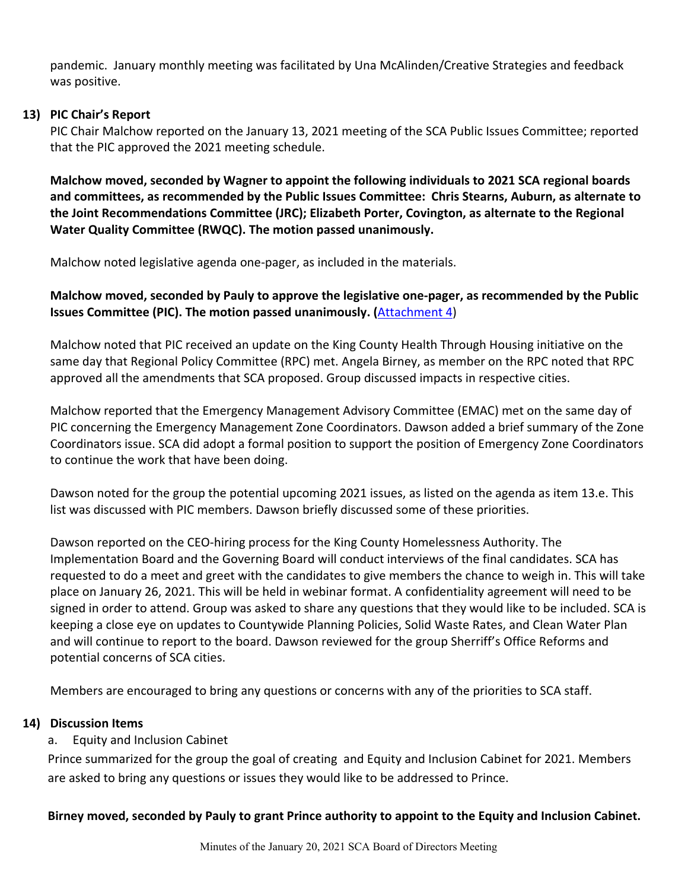pandemic. January monthly meeting was facilitated by Una McAlinden/Creative Strategies and feedback was positive.

### **13) PIC Chair's Report**

PIC Chair Malchow reported on the January 13, 2021 meeting of the SCA Public Issues Committee; reported that the PIC approved the 2021 meeting schedule.

**Malchow moved, seconded by Wagner to appoint the following individuals to 2021 SCA regional boards and committees, as recommended by the Public Issues Committee: Chris Stearns, Auburn, as alternate to the Joint Recommendations Committee (JRC); Elizabeth Porter, Covington, as alternate to the Regional Water Quality Committee (RWQC). The motion passed unanimously.** 

Malchow noted legislative agenda one-pager, as included in the materials.

**Malchow moved, seconded by Pauly to approve the legislative one-pager, as recommended by the Public Issues Committee (PIC). The motion passed unanimously. (**[Attachment](http://soundcities.org/wp-content/uploads/2021/01/January-20-2021-SCA-Board-of-Directors-Packet.pdf#page=24) 4)

Malchow noted that PIC received an update on the King County Health Through Housing initiative on the same day that Regional Policy Committee (RPC) met. Angela Birney, as member on the RPC noted that RPC approved all the amendments that SCA proposed. Group discussed impacts in respective cities.

Malchow reported that the Emergency Management Advisory Committee (EMAC) met on the same day of PIC concerning the Emergency Management Zone Coordinators. Dawson added a brief summary of the Zone Coordinators issue. SCA did adopt a formal position to support the position of Emergency Zone Coordinators to continue the work that have been doing.

Dawson noted for the group the potential upcoming 2021 issues, as listed on the agenda as item 13.e. This list was discussed with PIC members. Dawson briefly discussed some of these priorities.

Dawson reported on the CEO-hiring process for the King County Homelessness Authority. The Implementation Board and the Governing Board will conduct interviews of the final candidates. SCA has requested to do a meet and greet with the candidates to give members the chance to weigh in. This will take place on January 26, 2021. This will be held in webinar format. A confidentiality agreement will need to be signed in order to attend. Group was asked to share any questions that they would like to be included. SCA is keeping a close eye on updates to Countywide Planning Policies, Solid Waste Rates, and Clean Water Plan and will continue to report to the board. Dawson reviewed for the group Sherriff's Office Reforms and potential concerns of SCA cities.

Members are encouraged to bring any questions or concerns with any of the priorities to SCA staff.

# **14) Discussion Items**

# a. Equity and Inclusion Cabinet

Prince summarized for the group the goal of creating and Equity and Inclusion Cabinet for 2021. Members are asked to bring any questions or issues they would like to be addressed to Prince.

# **Birney moved, seconded by Pauly to grant Prince authority to appoint to the Equity and Inclusion Cabinet.**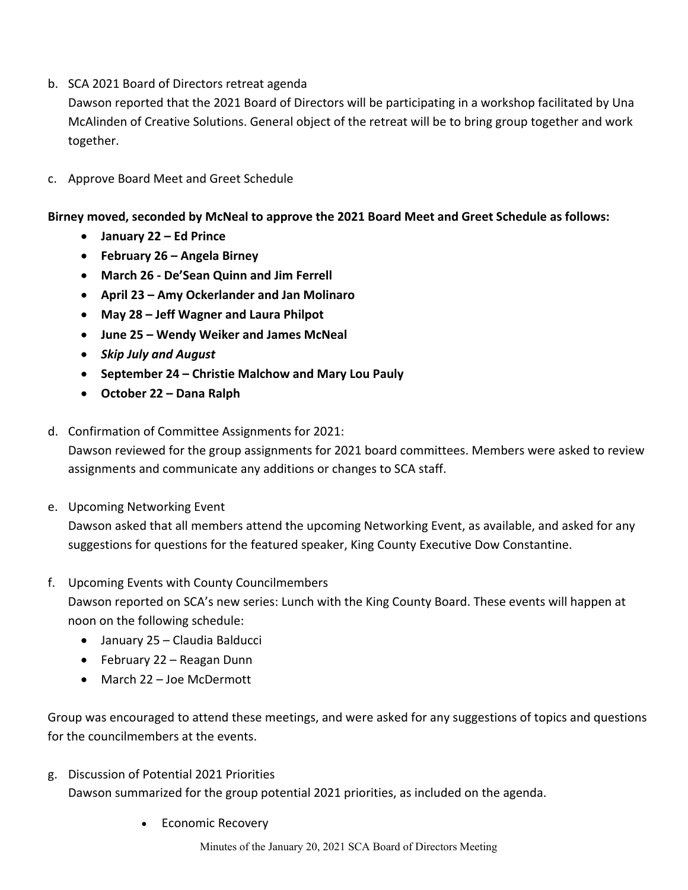b. SCA 2021 Board of Directors retreat agenda

Dawson reported that the 2021 Board of Directors will be participating in a workshop facilitated by Una McAlinden of Creative Solutions. General object of the retreat will be to bring group together and work together.

c. Approve Board Meet and Greet Schedule

**Birney moved, seconded by McNeal to approve the 2021 Board Meet and Greet Schedule as follows:**

- **January 22 – Ed Prince**
- **February 26 – Angela Birney**
- **March 26 - De'Sean Quinn and Jim Ferrell**
- **April 23 – Amy Ockerlander and Jan Molinaro**
- **May 28 – Jeff Wagner and Laura Philpot**
- **June 25 – Wendy Weiker and James McNeal**
- *Skip July and August*
- **September 24 – Christie Malchow and Mary Lou Pauly**
- **October 22 – Dana Ralph**
- d. Confirmation of Committee Assignments for 2021:

Dawson reviewed for the group assignments for 2021 board committees. Members were asked to review assignments and communicate any additions or changes to SCA staff.

e. Upcoming Networking Event

Dawson asked that all members attend the upcoming Networking Event, as available, and asked for any suggestions for questions for the featured speaker, King County Executive Dow Constantine.

f. Upcoming Events with County Councilmembers

Dawson reported on SCA's new series: Lunch with the King County Board. These events will happen at noon on the following schedule:

- January 25 Claudia Balducci
- February 22 Reagan Dunn
- March 22 Joe McDermott

Group was encouraged to attend these meetings, and were asked for any suggestions of topics and questions for the councilmembers at the events.

- g. Discussion of Potential 2021 Priorities Dawson summarized for the group potential 2021 priorities, as included on the agenda.
	- Economic Recovery